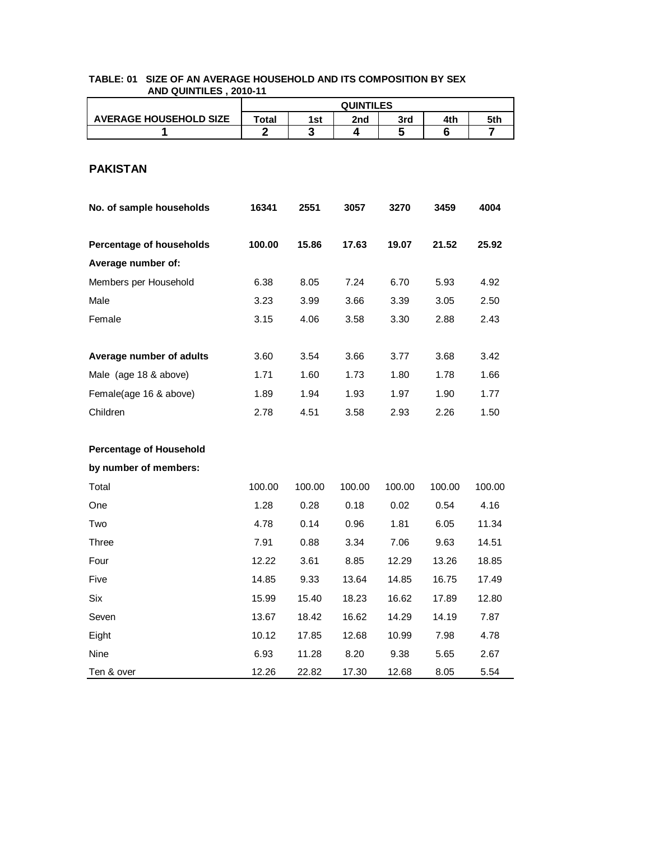|                                | <b>QUINTILES</b> |        |        |        |        |        |  |  |
|--------------------------------|------------------|--------|--------|--------|--------|--------|--|--|
| <b>AVERAGE HOUSEHOLD SIZE</b>  | Total            | 1st    | 2nd    | 3rd    | 4th    | 5th    |  |  |
| 1                              | $\mathbf{2}$     | 3      | 4      | 5      | 6      | 7      |  |  |
| <b>PAKISTAN</b>                |                  |        |        |        |        |        |  |  |
| No. of sample households       | 16341            | 2551   | 3057   | 3270   | 3459   | 4004   |  |  |
| Percentage of households       | 100.00           | 15.86  | 17.63  | 19.07  | 21.52  | 25.92  |  |  |
| Average number of:             |                  |        |        |        |        |        |  |  |
| Members per Household          | 6.38             | 8.05   | 7.24   | 6.70   | 5.93   | 4.92   |  |  |
| Male                           | 3.23             | 3.99   | 3.66   | 3.39   | 3.05   | 2.50   |  |  |
| Female                         | 3.15             | 4.06   | 3.58   | 3.30   | 2.88   | 2.43   |  |  |
|                                |                  |        |        |        |        |        |  |  |
| Average number of adults       | 3.60             | 3.54   | 3.66   | 3.77   | 3.68   | 3.42   |  |  |
| Male (age 18 & above)          | 1.71             | 1.60   | 1.73   | 1.80   | 1.78   | 1.66   |  |  |
| Female(age 16 & above)         | 1.89             | 1.94   | 1.93   | 1.97   | 1.90   | 1.77   |  |  |
| Children                       | 2.78             | 4.51   | 3.58   | 2.93   | 2.26   | 1.50   |  |  |
|                                |                  |        |        |        |        |        |  |  |
| <b>Percentage of Household</b> |                  |        |        |        |        |        |  |  |
| by number of members:          |                  |        |        |        |        |        |  |  |
| Total                          | 100.00           | 100.00 | 100.00 | 100.00 | 100.00 | 100.00 |  |  |
| One                            | 1.28             | 0.28   | 0.18   | 0.02   | 0.54   | 4.16   |  |  |
| Two                            | 4.78             | 0.14   | 0.96   | 1.81   | 6.05   | 11.34  |  |  |
| Three                          | 7.91             | 0.88   | 3.34   | 7.06   | 9.63   | 14.51  |  |  |
| Four                           | 12.22            | 3.61   | 8.85   | 12.29  | 13.26  | 18.85  |  |  |
| Five                           | 14.85            | 9.33   | 13.64  | 14.85  | 16.75  | 17.49  |  |  |
| Six                            | 15.99            | 15.40  | 18.23  | 16.62  | 17.89  | 12.80  |  |  |
| Seven                          | 13.67            | 18.42  | 16.62  | 14.29  | 14.19  | 7.87   |  |  |
| Eight                          | 10.12            | 17.85  | 12.68  | 10.99  | 7.98   | 4.78   |  |  |
| Nine                           | 6.93             | 11.28  | 8.20   | 9.38   | 5.65   | 2.67   |  |  |
| Ten & over                     | 12.26            | 22.82  | 17.30  | 12.68  | 8.05   | 5.54   |  |  |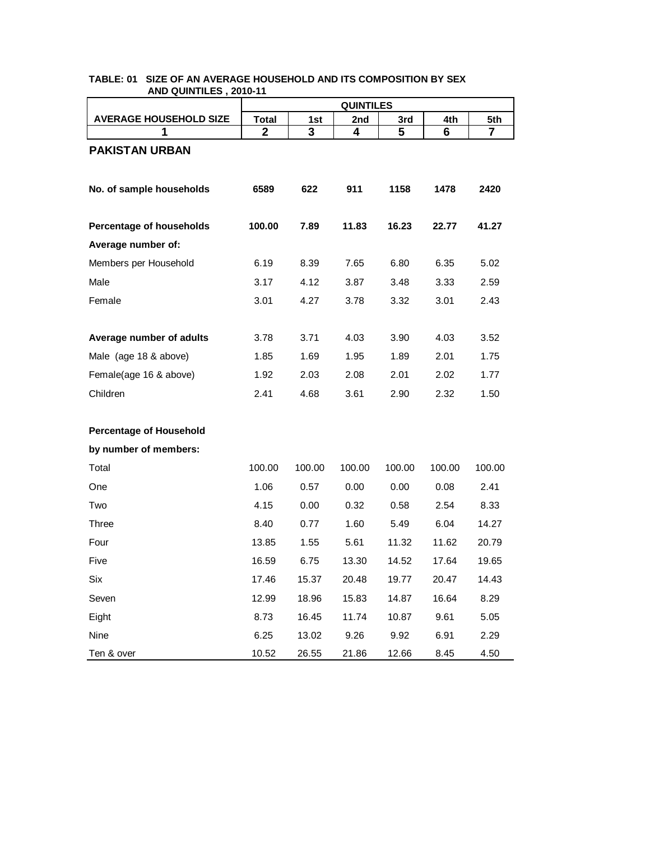|                                | <b>QUINTILES</b> |        |        |        |        |                |  |
|--------------------------------|------------------|--------|--------|--------|--------|----------------|--|
| <b>AVERAGE HOUSEHOLD SIZE</b>  | <b>Total</b>     | 1st    | 2nd    | 3rd    | 4th    | 5th            |  |
| 1                              | $\mathbf{2}$     | 3      | 4      | 5      | 6      | $\overline{7}$ |  |
| <b>PAKISTAN URBAN</b>          |                  |        |        |        |        |                |  |
|                                |                  |        |        |        |        |                |  |
| No. of sample households       | 6589             | 622    | 911    | 1158   | 1478   | 2420           |  |
|                                |                  |        |        |        |        |                |  |
| Percentage of households       | 100.00           | 7.89   | 11.83  | 16.23  | 22.77  | 41.27          |  |
| Average number of:             |                  |        |        |        |        |                |  |
| Members per Household          | 6.19             | 8.39   | 7.65   | 6.80   | 6.35   | 5.02           |  |
| Male                           | 3.17             | 4.12   | 3.87   | 3.48   | 3.33   | 2.59           |  |
| Female                         | 3.01             | 4.27   | 3.78   | 3.32   | 3.01   | 2.43           |  |
|                                |                  |        |        |        |        |                |  |
| Average number of adults       | 3.78             | 3.71   | 4.03   | 3.90   | 4.03   | 3.52           |  |
| Male (age 18 & above)          | 1.85             | 1.69   | 1.95   | 1.89   | 2.01   | 1.75           |  |
| Female(age 16 & above)         | 1.92             | 2.03   | 2.08   | 2.01   | 2.02   | 1.77           |  |
| Children                       | 2.41             | 4.68   | 3.61   | 2.90   | 2.32   | 1.50           |  |
|                                |                  |        |        |        |        |                |  |
| <b>Percentage of Household</b> |                  |        |        |        |        |                |  |
| by number of members:          |                  |        |        |        |        |                |  |
| Total                          | 100.00           | 100.00 | 100.00 | 100.00 | 100.00 | 100.00         |  |
| One                            | 1.06             | 0.57   | 0.00   | 0.00   | 0.08   | 2.41           |  |
| Two                            | 4.15             | 0.00   | 0.32   | 0.58   | 2.54   | 8.33           |  |
| Three                          | 8.40             | 0.77   | 1.60   | 5.49   | 6.04   | 14.27          |  |
| Four                           | 13.85            | 1.55   | 5.61   | 11.32  | 11.62  | 20.79          |  |
| Five                           | 16.59            | 6.75   | 13.30  | 14.52  | 17.64  | 19.65          |  |
| Six                            | 17.46            | 15.37  | 20.48  | 19.77  | 20.47  | 14.43          |  |
| Seven                          | 12.99            | 18.96  | 15.83  | 14.87  | 16.64  | 8.29           |  |
| Eight                          | 8.73             | 16.45  | 11.74  | 10.87  | 9.61   | 5.05           |  |
| Nine                           | 6.25             | 13.02  | 9.26   | 9.92   | 6.91   | 2.29           |  |
| Ten & over                     | 10.52            | 26.55  | 21.86  | 12.66  | 8.45   | 4.50           |  |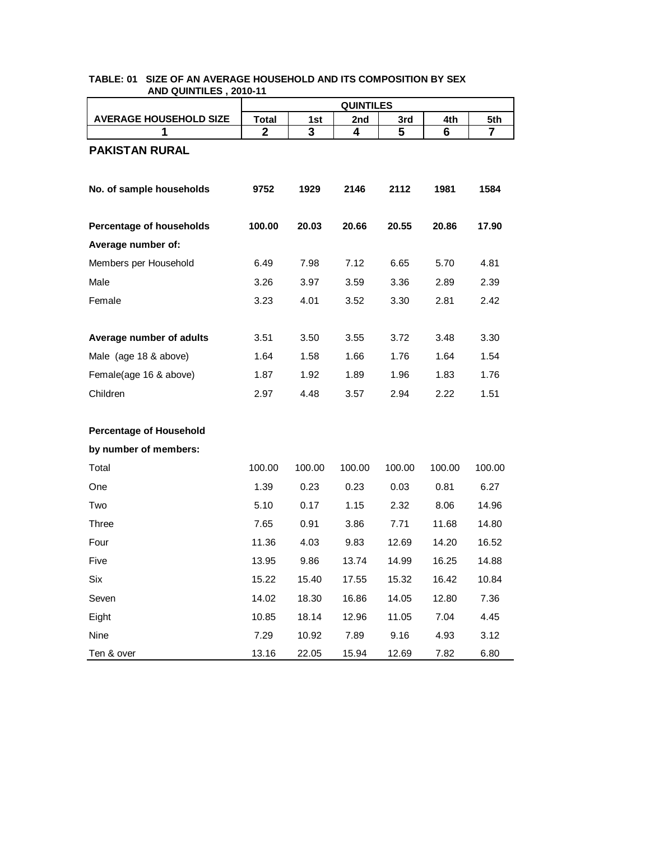|                                | <b>QUINTILES</b> |        |        |        |        |        |  |
|--------------------------------|------------------|--------|--------|--------|--------|--------|--|
| <b>AVERAGE HOUSEHOLD SIZE</b>  | <b>Total</b>     | 1st    | 2nd    | 3rd    | 4th    | 5th    |  |
| 1                              | $\mathbf{2}$     | 3      | 4      | 5      | 6      | 7      |  |
| <b>PAKISTAN RURAL</b>          |                  |        |        |        |        |        |  |
| No. of sample households       | 9752             | 1929   | 2146   | 2112   | 1981   | 1584   |  |
| Percentage of households       | 100.00           | 20.03  | 20.66  | 20.55  | 20.86  | 17.90  |  |
| Average number of:             |                  |        |        |        |        |        |  |
| Members per Household          | 6.49             | 7.98   | 7.12   | 6.65   | 5.70   | 4.81   |  |
| Male                           | 3.26             | 3.97   | 3.59   | 3.36   | 2.89   | 2.39   |  |
| Female                         | 3.23             | 4.01   | 3.52   | 3.30   | 2.81   | 2.42   |  |
|                                |                  |        |        |        |        |        |  |
| Average number of adults       | 3.51             | 3.50   | 3.55   | 3.72   | 3.48   | 3.30   |  |
| Male (age 18 & above)          | 1.64             | 1.58   | 1.66   | 1.76   | 1.64   | 1.54   |  |
| Female(age 16 & above)         | 1.87             | 1.92   | 1.89   | 1.96   | 1.83   | 1.76   |  |
| Children                       | 2.97             | 4.48   | 3.57   | 2.94   | 2.22   | 1.51   |  |
| <b>Percentage of Household</b> |                  |        |        |        |        |        |  |
| by number of members:          |                  |        |        |        |        |        |  |
| Total                          | 100.00           | 100.00 | 100.00 | 100.00 | 100.00 | 100.00 |  |
| One                            | 1.39             | 0.23   | 0.23   | 0.03   | 0.81   | 6.27   |  |
| Two                            | 5.10             | 0.17   | 1.15   | 2.32   | 8.06   | 14.96  |  |
| Three                          | 7.65             | 0.91   | 3.86   | 7.71   | 11.68  | 14.80  |  |
| Four                           | 11.36            | 4.03   | 9.83   | 12.69  | 14.20  | 16.52  |  |
| Five                           | 13.95            | 9.86   | 13.74  | 14.99  | 16.25  | 14.88  |  |
| Six                            | 15.22            | 15.40  | 17.55  | 15.32  | 16.42  | 10.84  |  |
| Seven                          | 14.02            | 18.30  | 16.86  | 14.05  | 12.80  | 7.36   |  |
| Eight                          | 10.85            | 18.14  | 12.96  | 11.05  | 7.04   | 4.45   |  |
| Nine                           | 7.29             | 10.92  | 7.89   | 9.16   | 4.93   | 3.12   |  |
| Ten & over                     | 13.16            | 22.05  | 15.94  | 12.69  | 7.82   | 6.80   |  |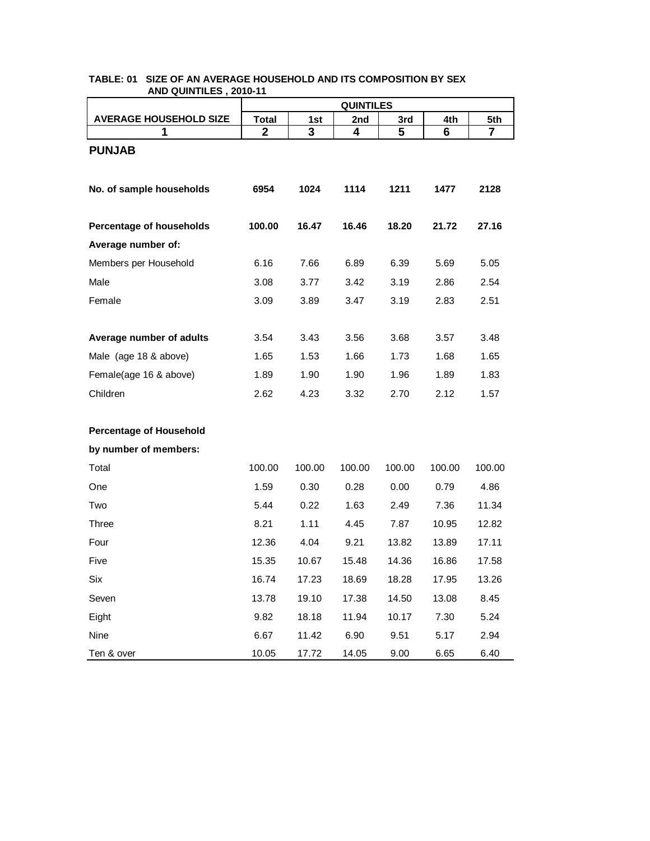|                                | <b>QUINTILES</b> |        |        |        |        |        |  |  |
|--------------------------------|------------------|--------|--------|--------|--------|--------|--|--|
| <b>AVERAGE HOUSEHOLD SIZE</b>  | <b>Total</b>     | 1st    | 2nd    | 3rd    | 4th    | 5th    |  |  |
| 1                              | $\mathbf{2}$     | 3      | 4      | 5      | 6      | 7      |  |  |
| <b>PUNJAB</b>                  |                  |        |        |        |        |        |  |  |
|                                |                  |        |        |        |        |        |  |  |
| No. of sample households       | 6954             | 1024   | 1114   | 1211   | 1477   | 2128   |  |  |
|                                |                  |        |        |        |        |        |  |  |
| Percentage of households       | 100.00           | 16.47  | 16.46  | 18.20  | 21.72  | 27.16  |  |  |
| Average number of:             |                  |        |        |        |        |        |  |  |
| Members per Household          | 6.16             | 7.66   | 6.89   | 6.39   | 5.69   | 5.05   |  |  |
| Male                           | 3.08             | 3.77   | 3.42   | 3.19   | 2.86   | 2.54   |  |  |
| Female                         | 3.09             | 3.89   | 3.47   | 3.19   | 2.83   | 2.51   |  |  |
|                                |                  |        |        |        |        |        |  |  |
| Average number of adults       | 3.54             | 3.43   | 3.56   | 3.68   | 3.57   | 3.48   |  |  |
| Male (age 18 & above)          | 1.65             | 1.53   | 1.66   | 1.73   | 1.68   | 1.65   |  |  |
| Female(age 16 & above)         | 1.89             | 1.90   | 1.90   | 1.96   | 1.89   | 1.83   |  |  |
| Children                       | 2.62             | 4.23   | 3.32   | 2.70   | 2.12   | 1.57   |  |  |
|                                |                  |        |        |        |        |        |  |  |
| <b>Percentage of Household</b> |                  |        |        |        |        |        |  |  |
| by number of members:          |                  |        |        |        |        |        |  |  |
| Total                          | 100.00           | 100.00 | 100.00 | 100.00 | 100.00 | 100.00 |  |  |
| One                            | 1.59             | 0.30   | 0.28   | 0.00   | 0.79   | 4.86   |  |  |
| Two                            | 5.44             | 0.22   | 1.63   | 2.49   | 7.36   | 11.34  |  |  |
| Three                          | 8.21             | 1.11   | 4.45   | 7.87   | 10.95  | 12.82  |  |  |
| Four                           | 12.36            | 4.04   | 9.21   | 13.82  | 13.89  | 17.11  |  |  |
| Five                           | 15.35            | 10.67  | 15.48  | 14.36  | 16.86  | 17.58  |  |  |
| Six                            | 16.74            | 17.23  | 18.69  | 18.28  | 17.95  | 13.26  |  |  |
| Seven                          | 13.78            | 19.10  | 17.38  | 14.50  | 13.08  | 8.45   |  |  |
| Eight                          | 9.82             | 18.18  | 11.94  | 10.17  | 7.30   | 5.24   |  |  |
| Nine                           | 6.67             | 11.42  | 6.90   | 9.51   | 5.17   | 2.94   |  |  |
| Ten & over                     | 10.05            | 17.72  | 14.05  | 9.00   | 6.65   | 6.40   |  |  |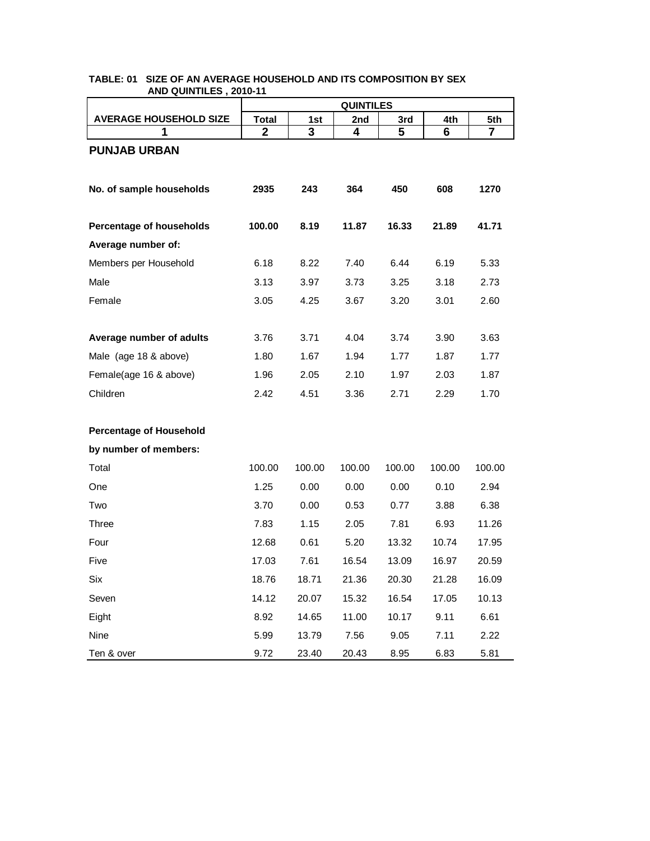|                                | <b>QUINTILES</b> |        |        |        |        |        |  |  |
|--------------------------------|------------------|--------|--------|--------|--------|--------|--|--|
| <b>AVERAGE HOUSEHOLD SIZE</b>  | <b>Total</b>     | 1st    | 2nd    | 3rd    | 4th    | 5th    |  |  |
| 1                              | $\mathbf{2}$     | 3      | 4      | 5      | 6      | 7      |  |  |
| <b>PUNJAB URBAN</b>            |                  |        |        |        |        |        |  |  |
|                                |                  |        |        |        |        |        |  |  |
| No. of sample households       | 2935             | 243    | 364    | 450    | 608    | 1270   |  |  |
|                                |                  |        |        |        |        |        |  |  |
| Percentage of households       | 100.00           | 8.19   | 11.87  | 16.33  | 21.89  | 41.71  |  |  |
| Average number of:             |                  |        |        |        |        |        |  |  |
| Members per Household          | 6.18             | 8.22   | 7.40   | 6.44   | 6.19   | 5.33   |  |  |
| Male                           | 3.13             | 3.97   | 3.73   | 3.25   | 3.18   | 2.73   |  |  |
| Female                         | 3.05             | 4.25   | 3.67   | 3.20   | 3.01   | 2.60   |  |  |
|                                |                  |        |        |        |        |        |  |  |
| Average number of adults       | 3.76             | 3.71   | 4.04   | 3.74   | 3.90   | 3.63   |  |  |
| Male (age 18 & above)          | 1.80             | 1.67   | 1.94   | 1.77   | 1.87   | 1.77   |  |  |
| Female(age 16 & above)         | 1.96             | 2.05   | 2.10   | 1.97   | 2.03   | 1.87   |  |  |
| Children                       | 2.42             | 4.51   | 3.36   | 2.71   | 2.29   | 1.70   |  |  |
|                                |                  |        |        |        |        |        |  |  |
| <b>Percentage of Household</b> |                  |        |        |        |        |        |  |  |
| by number of members:          |                  |        |        |        |        |        |  |  |
| Total                          | 100.00           | 100.00 | 100.00 | 100.00 | 100.00 | 100.00 |  |  |
| One                            | 1.25             | 0.00   | 0.00   | 0.00   | 0.10   | 2.94   |  |  |
| Two                            | 3.70             | 0.00   | 0.53   | 0.77   | 3.88   | 6.38   |  |  |
| Three                          | 7.83             | 1.15   | 2.05   | 7.81   | 6.93   | 11.26  |  |  |
| Four                           | 12.68            | 0.61   | 5.20   | 13.32  | 10.74  | 17.95  |  |  |
| Five                           | 17.03            | 7.61   | 16.54  | 13.09  | 16.97  | 20.59  |  |  |
| Six                            | 18.76            | 18.71  | 21.36  | 20.30  | 21.28  | 16.09  |  |  |
| Seven                          | 14.12            | 20.07  | 15.32  | 16.54  | 17.05  | 10.13  |  |  |
| Eight                          | 8.92             | 14.65  | 11.00  | 10.17  | 9.11   | 6.61   |  |  |
| Nine                           | 5.99             | 13.79  | 7.56   | 9.05   | 7.11   | 2.22   |  |  |
| Ten & over                     | 9.72             | 23.40  | 20.43  | 8.95   | 6.83   | 5.81   |  |  |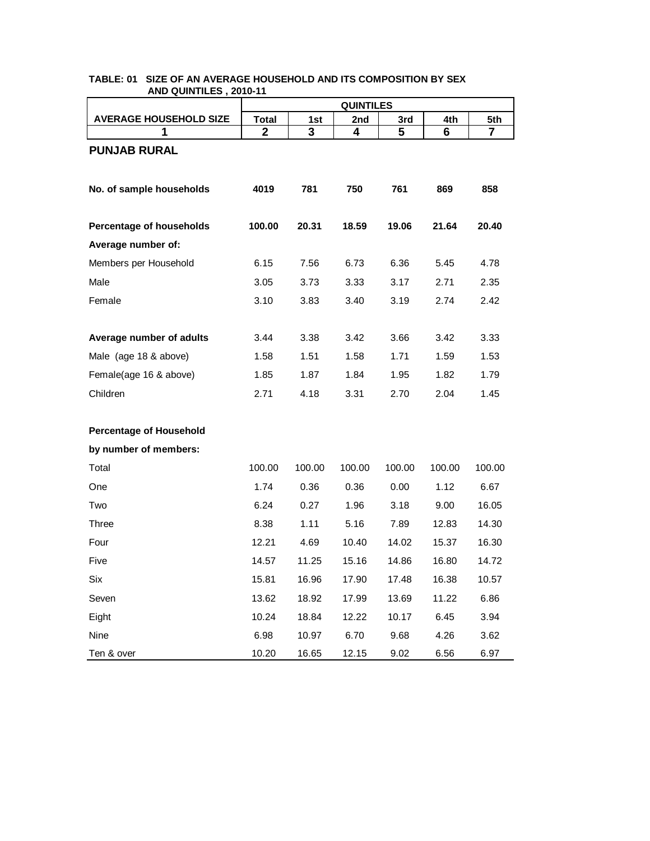|                                | <b>QUINTILES</b> |        |        |        |        |                |  |
|--------------------------------|------------------|--------|--------|--------|--------|----------------|--|
| <b>AVERAGE HOUSEHOLD SIZE</b>  | <b>Total</b>     | 1st    | 2nd    | 3rd    | 4th    | 5th            |  |
| 1                              | $\mathbf{2}$     | 3      | 4      | 5      | 6      | $\overline{7}$ |  |
| <b>PUNJAB RURAL</b>            |                  |        |        |        |        |                |  |
|                                |                  |        |        |        |        |                |  |
| No. of sample households       | 4019             | 781    | 750    | 761    | 869    | 858            |  |
|                                |                  |        |        |        |        |                |  |
| Percentage of households       | 100.00           | 20.31  | 18.59  | 19.06  | 21.64  | 20.40          |  |
| Average number of:             |                  |        |        |        |        |                |  |
| Members per Household          | 6.15             | 7.56   | 6.73   | 6.36   | 5.45   | 4.78           |  |
| Male                           | 3.05             | 3.73   | 3.33   | 3.17   | 2.71   | 2.35           |  |
| Female                         | 3.10             | 3.83   | 3.40   | 3.19   | 2.74   | 2.42           |  |
|                                |                  |        |        |        |        |                |  |
| Average number of adults       | 3.44             | 3.38   | 3.42   | 3.66   | 3.42   | 3.33           |  |
| Male (age 18 & above)          | 1.58             | 1.51   | 1.58   | 1.71   | 1.59   | 1.53           |  |
| Female(age 16 & above)         | 1.85             | 1.87   | 1.84   | 1.95   | 1.82   | 1.79           |  |
| Children                       | 2.71             | 4.18   | 3.31   | 2.70   | 2.04   | 1.45           |  |
|                                |                  |        |        |        |        |                |  |
| <b>Percentage of Household</b> |                  |        |        |        |        |                |  |
| by number of members:          |                  |        |        |        |        |                |  |
| Total                          | 100.00           | 100.00 | 100.00 | 100.00 | 100.00 | 100.00         |  |
| One                            | 1.74             | 0.36   | 0.36   | 0.00   | 1.12   | 6.67           |  |
| Two                            | 6.24             | 0.27   | 1.96   | 3.18   | 9.00   | 16.05          |  |
| Three                          | 8.38             | 1.11   | 5.16   | 7.89   | 12.83  | 14.30          |  |
| Four                           | 12.21            | 4.69   | 10.40  | 14.02  | 15.37  | 16.30          |  |
| Five                           | 14.57            | 11.25  | 15.16  | 14.86  | 16.80  | 14.72          |  |
| Six                            | 15.81            | 16.96  | 17.90  | 17.48  | 16.38  | 10.57          |  |
| Seven                          | 13.62            | 18.92  | 17.99  | 13.69  | 11.22  | 6.86           |  |
| Eight                          | 10.24            | 18.84  | 12.22  | 10.17  | 6.45   | 3.94           |  |
| Nine                           | 6.98             | 10.97  | 6.70   | 9.68   | 4.26   | 3.62           |  |
| Ten & over                     | 10.20            | 16.65  | 12.15  | 9.02   | 6.56   | 6.97           |  |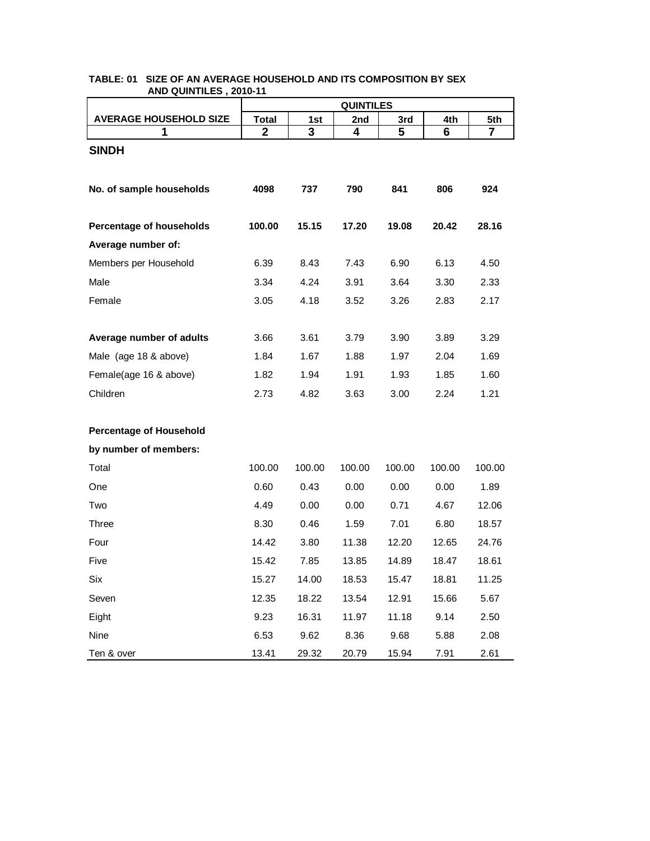|                                | <b>QUINTILES</b> |        |        |        |        |        |  |  |
|--------------------------------|------------------|--------|--------|--------|--------|--------|--|--|
| <b>AVERAGE HOUSEHOLD SIZE</b>  | <b>Total</b>     | 1st    | 2nd    | 3rd    | 4th    | 5th    |  |  |
| 1                              | $\mathbf{2}$     | 3      | 4      | 5      | 6      | 7      |  |  |
| <b>SINDH</b>                   |                  |        |        |        |        |        |  |  |
|                                |                  |        |        |        |        |        |  |  |
| No. of sample households       | 4098             | 737    | 790    | 841    | 806    | 924    |  |  |
|                                |                  |        |        |        |        |        |  |  |
| Percentage of households       | 100.00           | 15.15  | 17.20  | 19.08  | 20.42  | 28.16  |  |  |
| Average number of:             |                  |        |        |        |        |        |  |  |
| Members per Household          | 6.39             | 8.43   | 7.43   | 6.90   | 6.13   | 4.50   |  |  |
| Male                           | 3.34             | 4.24   | 3.91   | 3.64   | 3.30   | 2.33   |  |  |
| Female                         | 3.05             | 4.18   | 3.52   | 3.26   | 2.83   | 2.17   |  |  |
|                                |                  |        |        |        |        |        |  |  |
| Average number of adults       | 3.66             | 3.61   | 3.79   | 3.90   | 3.89   | 3.29   |  |  |
| Male (age 18 & above)          | 1.84             | 1.67   | 1.88   | 1.97   | 2.04   | 1.69   |  |  |
| Female(age 16 & above)         | 1.82             | 1.94   | 1.91   | 1.93   | 1.85   | 1.60   |  |  |
| Children                       | 2.73             | 4.82   | 3.63   | 3.00   | 2.24   | 1.21   |  |  |
|                                |                  |        |        |        |        |        |  |  |
| <b>Percentage of Household</b> |                  |        |        |        |        |        |  |  |
| by number of members:          |                  |        |        |        |        |        |  |  |
| Total                          | 100.00           | 100.00 | 100.00 | 100.00 | 100.00 | 100.00 |  |  |
| One                            | 0.60             | 0.43   | 0.00   | 0.00   | 0.00   | 1.89   |  |  |
| Two                            | 4.49             | 0.00   | 0.00   | 0.71   | 4.67   | 12.06  |  |  |
| Three                          | 8.30             | 0.46   | 1.59   | 7.01   | 6.80   | 18.57  |  |  |
| Four                           | 14.42            | 3.80   | 11.38  | 12.20  | 12.65  | 24.76  |  |  |
| Five                           | 15.42            | 7.85   | 13.85  | 14.89  | 18.47  | 18.61  |  |  |
| Six                            | 15.27            | 14.00  | 18.53  | 15.47  | 18.81  | 11.25  |  |  |
| Seven                          | 12.35            | 18.22  | 13.54  | 12.91  | 15.66  | 5.67   |  |  |
| Eight                          | 9.23             | 16.31  | 11.97  | 11.18  | 9.14   | 2.50   |  |  |
| Nine                           | 6.53             | 9.62   | 8.36   | 9.68   | 5.88   | 2.08   |  |  |
| Ten & over                     | 13.41            | 29.32  | 20.79  | 15.94  | 7.91   | 2.61   |  |  |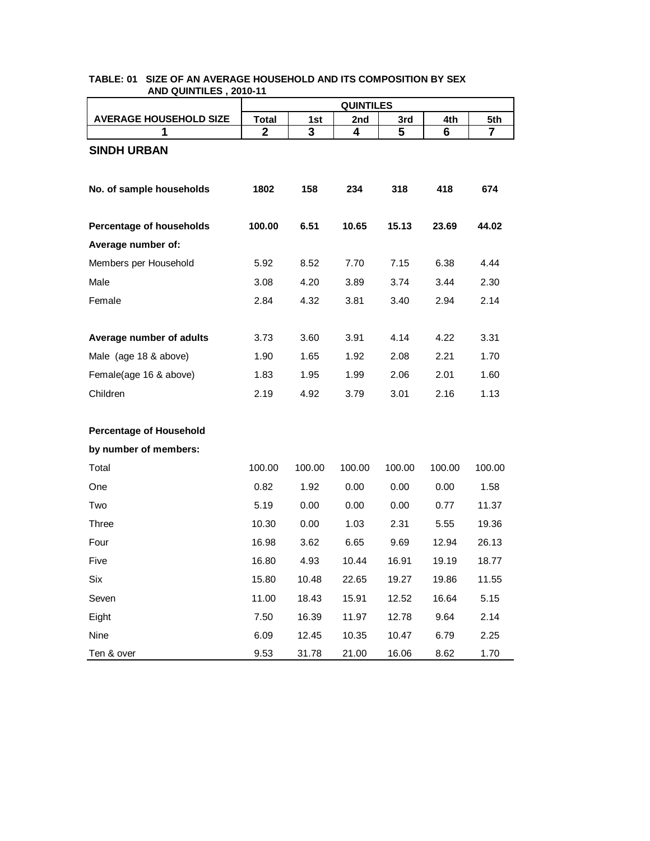|                                | <b>QUINTILES</b> |        |        |        |        |                |  |
|--------------------------------|------------------|--------|--------|--------|--------|----------------|--|
| <b>AVERAGE HOUSEHOLD SIZE</b>  | <b>Total</b>     | 1st    | 2nd    | 3rd    | 4th    | 5th            |  |
| 1                              | $\mathbf{2}$     | 3      | 4      | 5      | 6      | $\overline{7}$ |  |
| <b>SINDH URBAN</b>             |                  |        |        |        |        |                |  |
| No. of sample households       | 1802             | 158    | 234    | 318    | 418    | 674            |  |
| Percentage of households       | 100.00           | 6.51   | 10.65  | 15.13  | 23.69  | 44.02          |  |
| Average number of:             |                  |        |        |        |        |                |  |
| Members per Household          | 5.92             | 8.52   | 7.70   | 7.15   | 6.38   | 4.44           |  |
| Male                           | 3.08             | 4.20   | 3.89   | 3.74   | 3.44   | 2.30           |  |
| Female                         | 2.84             | 4.32   | 3.81   | 3.40   | 2.94   | 2.14           |  |
|                                |                  |        |        |        |        |                |  |
| Average number of adults       | 3.73             | 3.60   | 3.91   | 4.14   | 4.22   | 3.31           |  |
| Male (age 18 & above)          | 1.90             | 1.65   | 1.92   | 2.08   | 2.21   | 1.70           |  |
| Female(age 16 & above)         | 1.83             | 1.95   | 1.99   | 2.06   | 2.01   | 1.60           |  |
| Children                       | 2.19             | 4.92   | 3.79   | 3.01   | 2.16   | 1.13           |  |
| <b>Percentage of Household</b> |                  |        |        |        |        |                |  |
| by number of members:          |                  |        |        |        |        |                |  |
| Total                          | 100.00           | 100.00 | 100.00 | 100.00 | 100.00 | 100.00         |  |
| One                            | 0.82             | 1.92   | 0.00   | 0.00   | 0.00   | 1.58           |  |
| Two                            | 5.19             | 0.00   | 0.00   | 0.00   | 0.77   | 11.37          |  |
| Three                          | 10.30            | 0.00   | 1.03   | 2.31   | 5.55   | 19.36          |  |
| Four                           | 16.98            | 3.62   | 6.65   | 9.69   | 12.94  | 26.13          |  |
| Five                           | 16.80            | 4.93   | 10.44  | 16.91  | 19.19  | 18.77          |  |
| Six                            | 15.80            | 10.48  | 22.65  | 19.27  | 19.86  | 11.55          |  |
| Seven                          | 11.00            | 18.43  | 15.91  | 12.52  | 16.64  | 5.15           |  |
| Eight                          | 7.50             | 16.39  | 11.97  | 12.78  | 9.64   | 2.14           |  |
| Nine                           | 6.09             | 12.45  | 10.35  | 10.47  | 6.79   | 2.25           |  |
| Ten & over                     | 9.53             | 31.78  | 21.00  | 16.06  | 8.62   | 1.70           |  |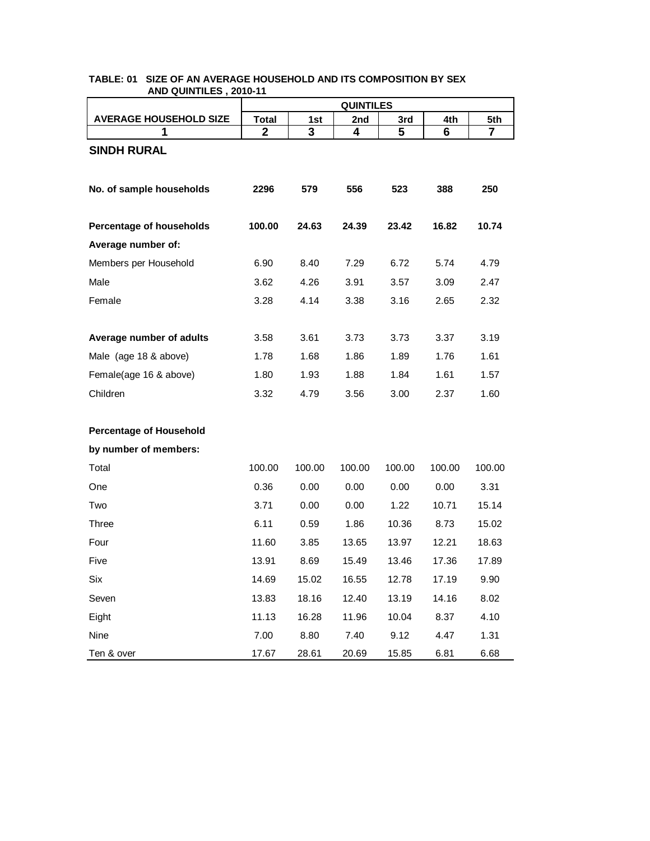|                                | <b>QUINTILES</b> |        |        |        |        |                |  |
|--------------------------------|------------------|--------|--------|--------|--------|----------------|--|
| <b>AVERAGE HOUSEHOLD SIZE</b>  | <b>Total</b>     | 1st    | 2nd    | 3rd    | 4th    | 5th            |  |
| 1                              | $\mathbf{2}$     | 3      | 4      | 5      | 6      | $\overline{7}$ |  |
| <b>SINDH RURAL</b>             |                  |        |        |        |        |                |  |
|                                |                  |        |        |        |        |                |  |
| No. of sample households       | 2296             | 579    | 556    | 523    | 388    | 250            |  |
|                                |                  |        |        |        |        |                |  |
| Percentage of households       | 100.00           | 24.63  | 24.39  | 23.42  | 16.82  | 10.74          |  |
| Average number of:             |                  |        |        |        |        |                |  |
| Members per Household          | 6.90             | 8.40   | 7.29   | 6.72   | 5.74   | 4.79           |  |
| Male                           | 3.62             | 4.26   | 3.91   | 3.57   | 3.09   | 2.47           |  |
| Female                         | 3.28             | 4.14   | 3.38   | 3.16   | 2.65   | 2.32           |  |
|                                |                  |        |        |        |        |                |  |
| Average number of adults       | 3.58             | 3.61   | 3.73   | 3.73   | 3.37   | 3.19           |  |
| Male (age 18 & above)          | 1.78             | 1.68   | 1.86   | 1.89   | 1.76   | 1.61           |  |
| Female(age 16 & above)         | 1.80             | 1.93   | 1.88   | 1.84   | 1.61   | 1.57           |  |
| Children                       | 3.32             | 4.79   | 3.56   | 3.00   | 2.37   | 1.60           |  |
|                                |                  |        |        |        |        |                |  |
| <b>Percentage of Household</b> |                  |        |        |        |        |                |  |
| by number of members:          |                  |        |        |        |        |                |  |
| Total                          | 100.00           | 100.00 | 100.00 | 100.00 | 100.00 | 100.00         |  |
| One                            | 0.36             | 0.00   | 0.00   | 0.00   | 0.00   | 3.31           |  |
| Two                            | 3.71             | 0.00   | 0.00   | 1.22   | 10.71  | 15.14          |  |
| Three                          | 6.11             | 0.59   | 1.86   | 10.36  | 8.73   | 15.02          |  |
| Four                           | 11.60            | 3.85   | 13.65  | 13.97  | 12.21  | 18.63          |  |
| Five                           | 13.91            | 8.69   | 15.49  | 13.46  | 17.36  | 17.89          |  |
| Six                            | 14.69            | 15.02  | 16.55  | 12.78  | 17.19  | 9.90           |  |
| Seven                          | 13.83            | 18.16  | 12.40  | 13.19  | 14.16  | 8.02           |  |
| Eight                          | 11.13            | 16.28  | 11.96  | 10.04  | 8.37   | 4.10           |  |
| Nine                           | 7.00             | 8.80   | 7.40   | 9.12   | 4.47   | 1.31           |  |
| Ten & over                     | 17.67            | 28.61  | 20.69  | 15.85  | 6.81   | 6.68           |  |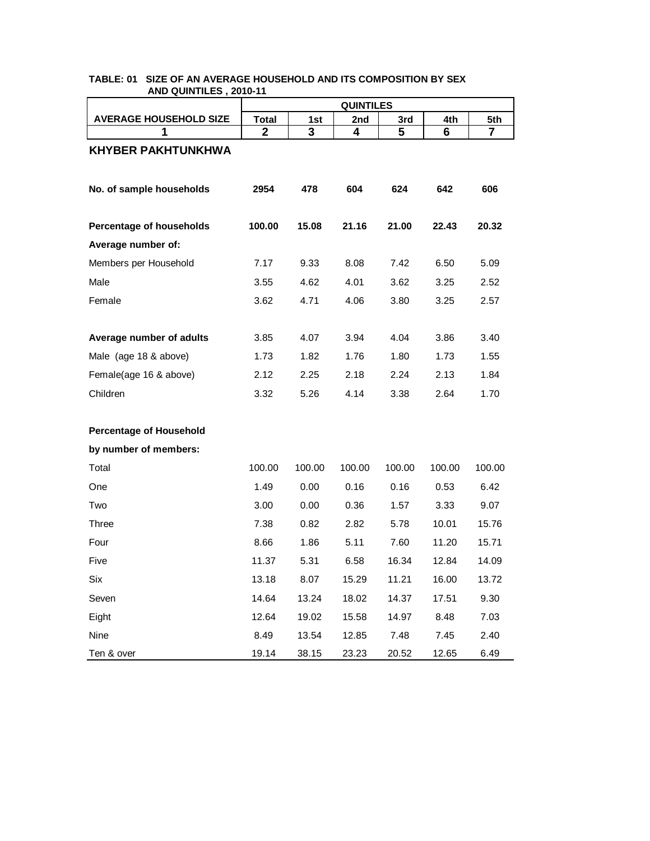|                                | <b>QUINTILES</b> |        |        |        |        |                |  |
|--------------------------------|------------------|--------|--------|--------|--------|----------------|--|
| <b>AVERAGE HOUSEHOLD SIZE</b>  | <b>Total</b>     | 1st    | 2nd    | 3rd    | 4th    | 5th            |  |
| 1                              | $\mathbf{2}$     | 3      | 4      | 5      | 6      | $\overline{7}$ |  |
| <b>KHYBER PAKHTUNKHWA</b>      |                  |        |        |        |        |                |  |
| No. of sample households       | 2954             | 478    | 604    | 624    | 642    | 606            |  |
| Percentage of households       | 100.00           | 15.08  | 21.16  | 21.00  | 22.43  | 20.32          |  |
| Average number of:             |                  |        |        |        |        |                |  |
| Members per Household          | 7.17             | 9.33   | 8.08   | 7.42   | 6.50   | 5.09           |  |
| Male                           | 3.55             | 4.62   | 4.01   | 3.62   | 3.25   | 2.52           |  |
| Female                         | 3.62             | 4.71   | 4.06   | 3.80   | 3.25   | 2.57           |  |
|                                |                  |        |        |        |        |                |  |
| Average number of adults       | 3.85             | 4.07   | 3.94   | 4.04   | 3.86   | 3.40           |  |
| Male (age 18 & above)          | 1.73             | 1.82   | 1.76   | 1.80   | 1.73   | 1.55           |  |
| Female(age 16 & above)         | 2.12             | 2.25   | 2.18   | 2.24   | 2.13   | 1.84           |  |
| Children                       | 3.32             | 5.26   | 4.14   | 3.38   | 2.64   | 1.70           |  |
|                                |                  |        |        |        |        |                |  |
| <b>Percentage of Household</b> |                  |        |        |        |        |                |  |
| by number of members:          |                  |        |        |        |        |                |  |
| Total                          | 100.00           | 100.00 | 100.00 | 100.00 | 100.00 | 100.00         |  |
| One                            | 1.49             | 0.00   | 0.16   | 0.16   | 0.53   | 6.42           |  |
| Two                            | 3.00             | 0.00   | 0.36   | 1.57   | 3.33   | 9.07           |  |
| Three                          | 7.38             | 0.82   | 2.82   | 5.78   | 10.01  | 15.76          |  |
| Four                           | 8.66             | 1.86   | 5.11   | 7.60   | 11.20  | 15.71          |  |
| Five                           | 11.37            | 5.31   | 6.58   | 16.34  | 12.84  | 14.09          |  |
| Six                            | 13.18            | 8.07   | 15.29  | 11.21  | 16.00  | 13.72          |  |
| Seven                          | 14.64            | 13.24  | 18.02  | 14.37  | 17.51  | 9.30           |  |
| Eight                          | 12.64            | 19.02  | 15.58  | 14.97  | 8.48   | 7.03           |  |
| Nine                           | 8.49             | 13.54  | 12.85  | 7.48   | 7.45   | 2.40           |  |
| Ten & over                     | 19.14            | 38.15  | 23.23  | 20.52  | 12.65  | 6.49           |  |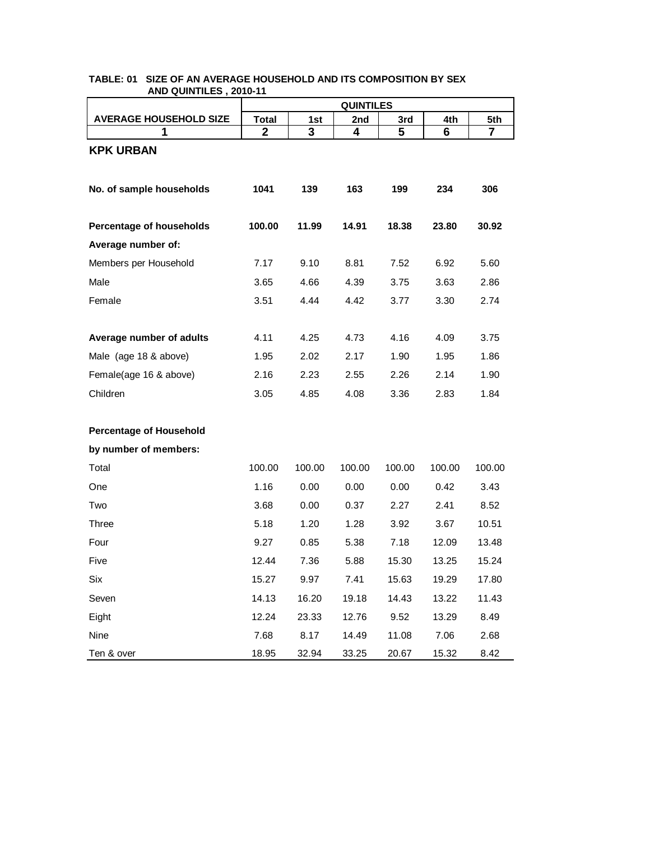|                                | <b>QUINTILES</b> |        |        |        |        |        |  |
|--------------------------------|------------------|--------|--------|--------|--------|--------|--|
| <b>AVERAGE HOUSEHOLD SIZE</b>  | <b>Total</b>     | 1st    | 2nd    | 3rd    | 4th    | 5th    |  |
| 1                              | $\mathbf{2}$     | 3      | 4      | 5      | 6      | 7      |  |
| <b>KPK URBAN</b>               |                  |        |        |        |        |        |  |
|                                |                  |        |        |        |        |        |  |
| No. of sample households       | 1041             | 139    | 163    | 199    | 234    | 306    |  |
|                                |                  |        |        |        |        |        |  |
| Percentage of households       | 100.00           | 11.99  | 14.91  | 18.38  | 23.80  | 30.92  |  |
| Average number of:             |                  |        |        |        |        |        |  |
| Members per Household          | 7.17             | 9.10   | 8.81   | 7.52   | 6.92   | 5.60   |  |
| Male                           | 3.65             | 4.66   | 4.39   | 3.75   | 3.63   | 2.86   |  |
| Female                         | 3.51             | 4.44   | 4.42   | 3.77   | 3.30   | 2.74   |  |
|                                |                  |        |        |        |        |        |  |
| Average number of adults       | 4.11             | 4.25   | 4.73   | 4.16   | 4.09   | 3.75   |  |
| Male (age 18 & above)          | 1.95             | 2.02   | 2.17   | 1.90   | 1.95   | 1.86   |  |
| Female(age 16 & above)         | 2.16             | 2.23   | 2.55   | 2.26   | 2.14   | 1.90   |  |
| Children                       | 3.05             | 4.85   | 4.08   | 3.36   | 2.83   | 1.84   |  |
|                                |                  |        |        |        |        |        |  |
| <b>Percentage of Household</b> |                  |        |        |        |        |        |  |
| by number of members:          |                  |        |        |        |        |        |  |
| Total                          | 100.00           | 100.00 | 100.00 | 100.00 | 100.00 | 100.00 |  |
| One                            | 1.16             | 0.00   | 0.00   | 0.00   | 0.42   | 3.43   |  |
| Two                            | 3.68             | 0.00   | 0.37   | 2.27   | 2.41   | 8.52   |  |
| Three                          | 5.18             | 1.20   | 1.28   | 3.92   | 3.67   | 10.51  |  |
| Four                           | 9.27             | 0.85   | 5.38   | 7.18   | 12.09  | 13.48  |  |
| Five                           | 12.44            | 7.36   | 5.88   | 15.30  | 13.25  | 15.24  |  |
| Six                            | 15.27            | 9.97   | 7.41   | 15.63  | 19.29  | 17.80  |  |
| Seven                          | 14.13            | 16.20  | 19.18  | 14.43  | 13.22  | 11.43  |  |
| Eight                          | 12.24            | 23.33  | 12.76  | 9.52   | 13.29  | 8.49   |  |
| Nine                           | 7.68             | 8.17   | 14.49  | 11.08  | 7.06   | 2.68   |  |
| Ten & over                     | 18.95            | 32.94  | 33.25  | 20.67  | 15.32  | 8.42   |  |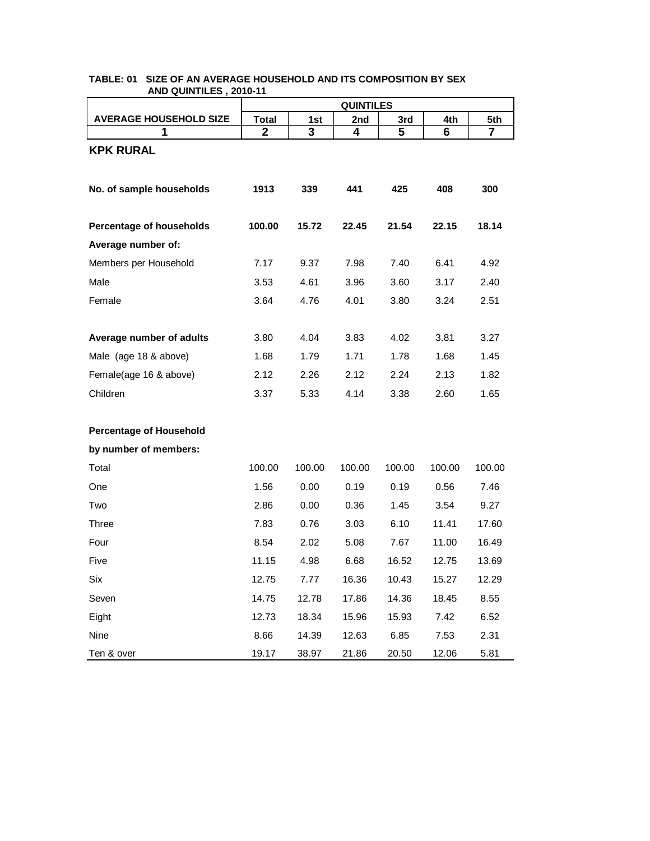|                                | <b>QUINTILES</b> |        |        |        |        |        |  |  |
|--------------------------------|------------------|--------|--------|--------|--------|--------|--|--|
| <b>AVERAGE HOUSEHOLD SIZE</b>  | <b>Total</b>     | 1st    | 2nd    | 3rd    | 4th    | 5th    |  |  |
| 1                              | $\mathbf{2}$     | 3      | 4      | 5      | 6      | 7      |  |  |
| <b>KPK RURAL</b>               |                  |        |        |        |        |        |  |  |
|                                |                  |        |        |        |        |        |  |  |
| No. of sample households       | 1913             | 339    | 441    | 425    | 408    | 300    |  |  |
|                                |                  |        |        |        |        |        |  |  |
| Percentage of households       | 100.00           | 15.72  | 22.45  | 21.54  | 22.15  | 18.14  |  |  |
| Average number of:             |                  |        |        |        |        |        |  |  |
| Members per Household          | 7.17             | 9.37   | 7.98   | 7.40   | 6.41   | 4.92   |  |  |
| Male                           | 3.53             | 4.61   | 3.96   | 3.60   | 3.17   | 2.40   |  |  |
| Female                         | 3.64             | 4.76   | 4.01   | 3.80   | 3.24   | 2.51   |  |  |
|                                |                  |        |        |        |        |        |  |  |
| Average number of adults       | 3.80             | 4.04   | 3.83   | 4.02   | 3.81   | 3.27   |  |  |
| Male (age 18 & above)          | 1.68             | 1.79   | 1.71   | 1.78   | 1.68   | 1.45   |  |  |
| Female(age 16 & above)         | 2.12             | 2.26   | 2.12   | 2.24   | 2.13   | 1.82   |  |  |
| Children                       | 3.37             | 5.33   | 4.14   | 3.38   | 2.60   | 1.65   |  |  |
|                                |                  |        |        |        |        |        |  |  |
| <b>Percentage of Household</b> |                  |        |        |        |        |        |  |  |
| by number of members:          |                  |        |        |        |        |        |  |  |
| Total                          | 100.00           | 100.00 | 100.00 | 100.00 | 100.00 | 100.00 |  |  |
| One                            | 1.56             | 0.00   | 0.19   | 0.19   | 0.56   | 7.46   |  |  |
| Two                            | 2.86             | 0.00   | 0.36   | 1.45   | 3.54   | 9.27   |  |  |
| Three                          | 7.83             | 0.76   | 3.03   | 6.10   | 11.41  | 17.60  |  |  |
| Four                           | 8.54             | 2.02   | 5.08   | 7.67   | 11.00  | 16.49  |  |  |
| Five                           | 11.15            | 4.98   | 6.68   | 16.52  | 12.75  | 13.69  |  |  |
| Six                            | 12.75            | 7.77   | 16.36  | 10.43  | 15.27  | 12.29  |  |  |
| Seven                          | 14.75            | 12.78  | 17.86  | 14.36  | 18.45  | 8.55   |  |  |
| Eight                          | 12.73            | 18.34  | 15.96  | 15.93  | 7.42   | 6.52   |  |  |
| Nine                           | 8.66             | 14.39  | 12.63  | 6.85   | 7.53   | 2.31   |  |  |
| Ten & over                     | 19.17            | 38.97  | 21.86  | 20.50  | 12.06  | 5.81   |  |  |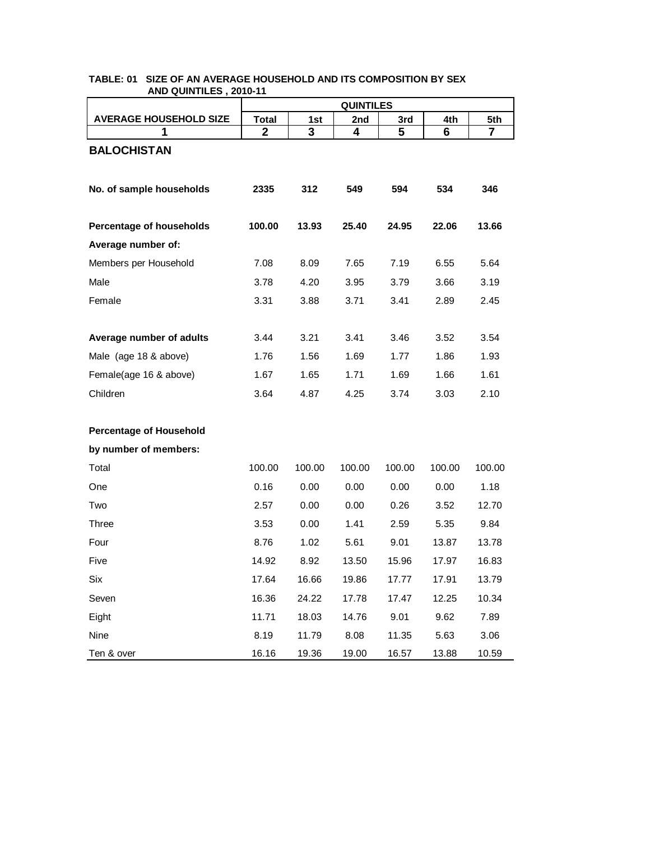|                                | <b>QUINTILES</b> |        |        |        |        |                |
|--------------------------------|------------------|--------|--------|--------|--------|----------------|
| <b>AVERAGE HOUSEHOLD SIZE</b>  | <b>Total</b>     | 1st    | 2nd    | 3rd    | 4th    | 5th            |
| 1                              | $\mathbf{2}$     | 3      | 4      | 5      | 6      | $\overline{7}$ |
| <b>BALOCHISTAN</b>             |                  |        |        |        |        |                |
|                                |                  |        |        |        |        |                |
| No. of sample households       | 2335             | 312    | 549    | 594    | 534    | 346            |
|                                |                  |        |        |        |        |                |
| Percentage of households       | 100.00           | 13.93  | 25.40  | 24.95  | 22.06  | 13.66          |
| Average number of:             |                  |        |        |        |        |                |
| Members per Household          | 7.08             | 8.09   | 7.65   | 7.19   | 6.55   | 5.64           |
| Male                           | 3.78             | 4.20   | 3.95   | 3.79   | 3.66   | 3.19           |
| Female                         | 3.31             | 3.88   | 3.71   | 3.41   | 2.89   | 2.45           |
|                                |                  |        |        |        |        |                |
| Average number of adults       | 3.44             | 3.21   | 3.41   | 3.46   | 3.52   | 3.54           |
| Male (age 18 & above)          | 1.76             | 1.56   | 1.69   | 1.77   | 1.86   | 1.93           |
| Female(age 16 & above)         | 1.67             | 1.65   | 1.71   | 1.69   | 1.66   | 1.61           |
| Children                       | 3.64             | 4.87   | 4.25   | 3.74   | 3.03   | 2.10           |
|                                |                  |        |        |        |        |                |
| <b>Percentage of Household</b> |                  |        |        |        |        |                |
| by number of members:          |                  |        |        |        |        |                |
| Total                          | 100.00           | 100.00 | 100.00 | 100.00 | 100.00 | 100.00         |
| One                            | 0.16             | 0.00   | 0.00   | 0.00   | 0.00   | 1.18           |
| Two                            | 2.57             | 0.00   | 0.00   | 0.26   | 3.52   | 12.70          |
| Three                          | 3.53             | 0.00   | 1.41   | 2.59   | 5.35   | 9.84           |
| Four                           | 8.76             | 1.02   | 5.61   | 9.01   | 13.87  | 13.78          |
| Five                           | 14.92            | 8.92   | 13.50  | 15.96  | 17.97  | 16.83          |
| Six                            | 17.64            | 16.66  | 19.86  | 17.77  | 17.91  | 13.79          |
| Seven                          | 16.36            | 24.22  | 17.78  | 17.47  | 12.25  | 10.34          |
| Eight                          | 11.71            | 18.03  | 14.76  | 9.01   | 9.62   | 7.89           |
| Nine                           | 8.19             | 11.79  | 8.08   | 11.35  | 5.63   | 3.06           |
| Ten & over                     | 16.16            | 19.36  | 19.00  | 16.57  | 13.88  | 10.59          |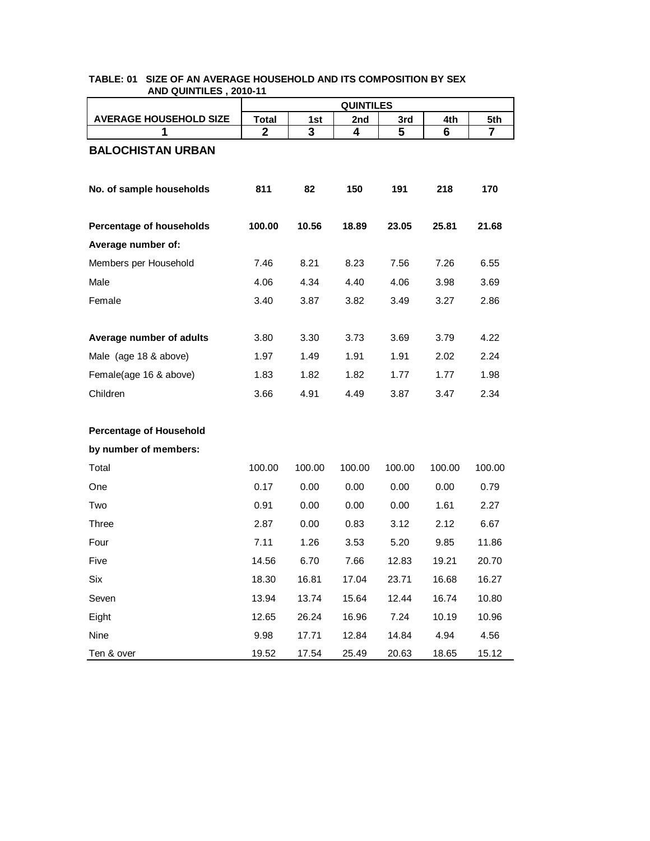|                                | <b>QUINTILES</b> |        |        |        |        |        |
|--------------------------------|------------------|--------|--------|--------|--------|--------|
| <b>AVERAGE HOUSEHOLD SIZE</b>  | <b>Total</b>     | 1st    | 2nd    | 3rd    | 4th    | 5th    |
| 1                              | $\mathbf{2}$     | 3      | 4      | 5      | 6      | 7      |
| <b>BALOCHISTAN URBAN</b>       |                  |        |        |        |        |        |
|                                |                  |        |        |        |        |        |
| No. of sample households       | 811              | 82     | 150    | 191    | 218    | 170    |
|                                |                  |        |        |        |        |        |
| Percentage of households       | 100.00           | 10.56  | 18.89  | 23.05  | 25.81  | 21.68  |
| Average number of:             |                  |        |        |        |        |        |
| Members per Household          | 7.46             | 8.21   | 8.23   | 7.56   | 7.26   | 6.55   |
| Male                           | 4.06             | 4.34   | 4.40   | 4.06   | 3.98   | 3.69   |
| Female                         | 3.40             | 3.87   | 3.82   | 3.49   | 3.27   | 2.86   |
|                                |                  |        |        |        |        |        |
| Average number of adults       | 3.80             | 3.30   | 3.73   | 3.69   | 3.79   | 4.22   |
| Male (age 18 & above)          | 1.97             | 1.49   | 1.91   | 1.91   | 2.02   | 2.24   |
| Female(age 16 & above)         | 1.83             | 1.82   | 1.82   | 1.77   | 1.77   | 1.98   |
| Children                       | 3.66             | 4.91   | 4.49   | 3.87   | 3.47   | 2.34   |
|                                |                  |        |        |        |        |        |
| <b>Percentage of Household</b> |                  |        |        |        |        |        |
| by number of members:          |                  |        |        |        |        |        |
| Total                          | 100.00           | 100.00 | 100.00 | 100.00 | 100.00 | 100.00 |
| One                            | 0.17             | 0.00   | 0.00   | 0.00   | 0.00   | 0.79   |
| Two                            | 0.91             | 0.00   | 0.00   | 0.00   | 1.61   | 2.27   |
| Three                          | 2.87             | 0.00   | 0.83   | 3.12   | 2.12   | 6.67   |
| Four                           | 7.11             | 1.26   | 3.53   | 5.20   | 9.85   | 11.86  |
| Five                           | 14.56            | 6.70   | 7.66   | 12.83  | 19.21  | 20.70  |
| Six                            | 18.30            | 16.81  | 17.04  | 23.71  | 16.68  | 16.27  |
| Seven                          | 13.94            | 13.74  | 15.64  | 12.44  | 16.74  | 10.80  |
| Eight                          | 12.65            | 26.24  | 16.96  | 7.24   | 10.19  | 10.96  |
| Nine                           | 9.98             | 17.71  | 12.84  | 14.84  | 4.94   | 4.56   |
| Ten & over                     | 19.52            | 17.54  | 25.49  | 20.63  | 18.65  | 15.12  |